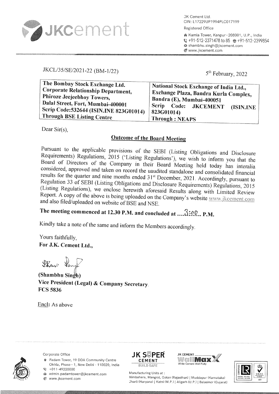

JK Cement Ltd. CIN: L17229UP1994PLC017199 Registered Office

� Kamla Tower, Kanpur - 208001, U.P., India ₹ +91-512-2371478 to 85 +91-512-2399854 sa shambhu.singh@jkcement.com *⊕* www.jkcement.com

# JKCL/35/SE/2021-22 (BM-1/22)

5<sup>th</sup> February, 2022

| The Bombay Stock Exchange Ltd.<br><b>Corporate Relationship Department,</b><br>Phiroze Jeejeebhoy Towers, | National Stock Exchange of India Ltd.,<br>Exchange Plaza, Bandra Kurla Complex,       |
|-----------------------------------------------------------------------------------------------------------|---------------------------------------------------------------------------------------|
| Dalal Street, Fort, Mumbai-400001<br>Scrip Code: 532644 (ISIN.INE 823G01014)                              | Bandra (E), Mumbai-400051<br>Scrip Code: JKCEMENT<br>(ISIN.INE<br>$ 823G01014\rangle$ |
| <b>Through BSE Listing Centre</b>                                                                         | Through: NEAPS                                                                        |

Dear  $Sir(s)$ ,

# **Outcome of the Board Meeting**

Pursuant to the applicable provisions of the SEBI (Listing Obligations and Disclosure Requirements) Regulations, 2015 ('Listing Regulations'), we wish to inform you that the Board of Directors of the Company in their Board Meeting held today has interalia considered, approved and taken on record the uaudited standalone and consolidated financial results for the quarter and nine months ended 31<sup>st</sup> December, 2021. Accordingly, pursuant to Regulation 33 of SEBI (Listing Obligations and Disclosure Requirements) Regulations, 2015 (Listing Regulations), we enclose herewith aforesaid Results along with Limited Review Report. A copy of the above is being uploaded on the Company's website www.jkcement.com and also filed/uploaded on website of BSE and NSE.

# The meeting commenced at 12.30 P.M. and concluded at .... 3:00... P.M.

Kindly take a note of the same and inform the Members accordingly.

Yours faithfully. For J.K. Cement Ltd.,

Phanp ten

(Shambhu Singh) Vice President (Legal) & Company Secretary. **FCS 5836** 

Encl: As above



Corporate Office

Padam Tower, 19 DDA Community Centre Okhla, Phase - 1, New Delhi - 110020, India  $C + 011 - 49220000$ 

a admin.padamtower@jkcement.com **⊕** www.jkcement.com







Manufacturing Units at: Nimbahera, Mangrol, Gotan (Rajasthan) | Muddapur (Karnataka) Jharli (Haryana) | Katni (M.P.) | Aligarh (U.P.) | Balasinor (Gujarat)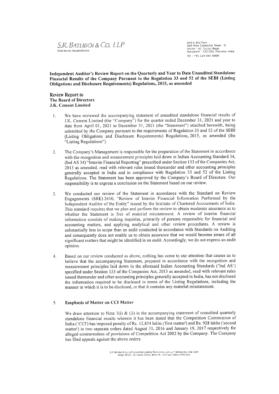

2nd & 3rd Floor<br>Goil View Corporate Tower - 8<br>Sector - 42, Sector Road<br>Gurugram - 122 002, Haryana, India Tel: +91 124 681 6000

Independent Auditor's Review Report on the Quarterly and Year to Date Unaudited Standalone Financial Results of the Company Pursuant to the Regulation 33 and 52 of the SEBI (Listing Obligations and Disclosure Requirements) Regulations, 2015' as amended

#### Review Report to The Board of Directors J.K. Cement Limited

- We have reviewed the accompanying statement of unaudited standalone financial results of  $\mathbf{1}$ J.K. Cement Limited (the "Company") for the quarter ended December 31, 2021 and year to date from April 01, 2021 to December 31, 2021 (the "Statement") attached herewith, being submitted by the Company pursuant to the requirements of Regulation 33 and 52 of the SEBI (Listing Obligations and Disclosure Requirements) Regulations,20l5, as amended (the "Listing Regulations").
- 2 The Company's Management is responsible for the preparation of the Statement in accordance with the recognition and measurement principles laid down in Indian Accounting Standard 34, (Ind AS 34) "Interim Financial Reporting" prescribed under Section 133 of the Companies Act, 2013 as amended, read with relevant rules issued thereuuder and other accounting principles generally accepted in India and in compliance with Regulation 33 and 52 of the Listing Regulations. The Statement has been approved by the Company's Board of Directors. Our responsibility is to express a conclusion on the Statement based on our review.
- We condncted our review of the Statement in accordance with the Standard on Review Engagements (SRE)2410, "Review of Interinr Financial Infomration Perforrned by the Independent Auditor of the Entiry" issued by the Institute of Chartered Accountants of India. This standard requires that we plan and perform the review to obtain moderate assurance as to whether the Statement is free of material misstatement. A review of interim financial information consists of making inquiries, primarily of persons responsible for financial and accounting matters, and applying analytical and other review procedures. A review is substantially less in scope than au audit conducted in accordance with Standards on Auditing and consequently does not enable us to obtain assurance that we would beconre aware of all significant matters that might be identified in an audit. Accordingly, we do not express an audit opinion.  $\overline{3}$
- Based on our review conducted as above, nothiug has come to our attentiou that causes us to believe that the accornpanying Staternent, prepared in accordance with the recognition and measurement principles laid down in the aforesaid Indian Accounting Standards ('Ind AS') specified under Section 133 of the Companies Act, 2013 as amended, read with relevant rules issued thereunder and other accounting principles generally accepted in lndia, has not disclosed the information required to be disclosed in terms of the Listing Regulations, including the manner in which it is to be disclosed, or that it contains any material misstatement. 4

#### 5. Emphasis of Matter on CCI Matter

We draw attention to Note 3(i) & (ii) in the accompanying statement of unaudited quarterly standalone financial results wherein it has been stated that the Competition Commission of India ('CCI') has imposed penalty of Rs. 12,854 lakhs ('first matter') and Rs. 928 lakhs ('second matter') in two separate orders dated August 31, 2016 and January 19, 2017 respectively for alleged contravention of provisions of Competition Act 2002 by the Company. The Company has filed appeals against the above orders.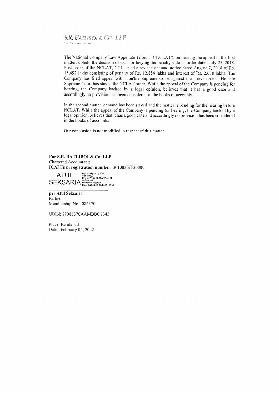#### S, R. BATLIBOL& CO. LLP Cliartered Accountants

The National Company Law Appellate Tribunal ('NCLAT'), on hearing the appeal in the first matter, upheld the decision of CCI for levying the penalty vide its order dated July 25,2018. Post order of the NCLAT, CCI issued a revised demand notice dated August 7, 2018 of Rs. 15,492 lakhs consisting of penalty of Rs. 12,854 lakhs and interest of Rs. 2,638 lakhs. The Company has filed appeal with Hou'ble Supreme Court against the above order. Hon'ble Supreme Court has stayed the NCLAT order. While the appeal of the Company is pending for hearing, the Company backed by a legal opinion, believes that it has a good case and accordingly no provision has been considered in the books of accounts.

In the second matter, demand has been stayed and the matter is pending for the hearing before NCLAT. While the appeal of the Company is pending for hearing, the Company backed by a legal opinion, believes that it has a good case and accordingly no provision has been considered in the books of accounts.

Our conclusion is not modified in respect of this matter.

#### For S.R. BATLIBOI & Co. LLP Chartered Accountants ICAI Firm registration number: 301003E/E300005

ATUL Digitally signed by ATUL<br>SEKSARIA BRE ON COLORE OF THE OF THE SEKSARIA, C=IN  $\mathsf{SEKSARIA}\ \small{\mathop{\mathsf{Local}}\limits_{{\mathsf{Local}(5)}{\mathsf{2022.02.05}}}^{\mathsf{Cyl}\ \small{\mathsf{General}}}$ 

per Atul Seksaria Partner Membership No.: 086370

UDIN: 22086370AAMBBO7345

Place: Faridabad Date: February 05,2022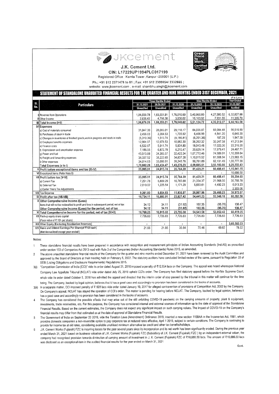



J.K. Cement Ltd. CIN: L17229UP1994PLC017199

Registered Office : Kamla Tower , Kanpur -208001 (U.P.)

Ph.: +91 512 2371478 to 81; Fax: +91 512 2399854/ 2332665;

website: www.jkcement.com ; e-mail: shambhu.singh@jkcement.com

### STATEMENT OF STANDALONE UNAUDITED FINANCIAL RESULTS FOR THE QUARTER AND NINE MONTHS ENDED 31ST DECEMBER, 2021

| <b>Nine Months Ended</b><br><b>Three Months Ended</b><br>SI.<br>No.<br>31,12,2021<br>31.12.2020<br>31.12.2021<br>30.09.2021<br>31.12.2020<br><b>Particulars</b><br><b>Unaudited</b><br>Unaudited<br><b>Unaudited</b><br><b>Unaudited</b><br><b>Unaudited</b> | Year Ended                    |
|--------------------------------------------------------------------------------------------------------------------------------------------------------------------------------------------------------------------------------------------------------------|-------------------------------|
|                                                                                                                                                                                                                                                              |                               |
|                                                                                                                                                                                                                                                              | 31.03.2021                    |
|                                                                                                                                                                                                                                                              | Audited                       |
|                                                                                                                                                                                                                                                              |                               |
| 5,40,960.80<br>4,27,580.52<br>1,76,010.60<br>1,83,551.91<br>1,94,039.78<br><b>  Revenue from Operations</b>                                                                                                                                                  | 6,32,827.88                   |
| 10,163.92<br>4.798.30<br>3,030,02<br>2.638.42<br>II Other Income                                                                                                                                                                                             | 11.335.70<br>7,931.55         |
| 4,35,512.07<br>5,51,124.72<br>1,96,678.20<br>1,88,350.21<br>1,79,040.62<br>III Total Income (I+II)                                                                                                                                                           | 6,44,163.58                   |
| <b>IV</b> Expenses                                                                                                                                                                                                                                           |                               |
| 84,035.07<br>29,118.17<br>28,085.01<br>a) Cost of materials consumed<br>31,047.30                                                                                                                                                                            | 96,516.90<br>66,084.48        |
| 6,466.99<br>2.384.53<br>1,705.92<br>2,456.03<br>b) Purchases of stock in trade                                                                                                                                                                               | 4,541.20<br>6,640.20          |
| 1,513.74<br>(4, 186.81)<br>(6, 291.36)<br>(5.310.36)<br>c) Changes in inventories of finished goods, work in progress and stock in trade                                                                                                                     | 197,29<br>1,947.29            |
| 38,262.32<br>12.978.53<br>10,982.30<br>12,904.07<br>d) Employee benefits expenses                                                                                                                                                                            | 41,213.84<br>30,247.58        |
| 5,911.74<br>5,934.80<br>18,043.48<br>6.532.67<br>e) Finance costs                                                                                                                                                                                            | 22,316.20<br>17,023.36        |
| 6,215.47<br>20,629.14<br>6,872.79<br>7.186.55<br>1 Depreciation and amortisation expense                                                                                                                                                                     | 24,467.71<br>17,979.41        |
| 32,423.34<br>1.07.772.46<br>34,365.57<br>43.513.88<br>(g) Power and fuel                                                                                                                                                                                     | 74.989.91<br>1,10,359.84      |
| 34.837.28<br>1,10,015.52<br>38.337.52<br>38,222.65<br>h) Freight and forwarding expenses                                                                                                                                                                     | 1,23,983.15<br>81,908.94      |
| 90,761.89<br>26,245.76<br>34,014.63<br>33,099.91<br>i) Other expenses                                                                                                                                                                                        | 1,00,777.30<br>62,131.49      |
| 3,55,103.66<br>4,69,695.51<br>,43,276.23<br>1,70,682,29<br>1,63,434.47<br>Total Expenses (a to i)                                                                                                                                                            | 5,28,222.43                   |
| 81,429.21<br>24,915,74<br>35,764.39<br>25,995.91<br>V Profit before exceptional items and tax (III-IV)                                                                                                                                                       | 1,15,941.15<br>80,408.41      |
| VI Exceptional Items (Refer Note 6)                                                                                                                                                                                                                          | 16,686.50                     |
| 81,429.21<br>35,764.39<br>24,915.74<br>25,995.91<br>VII Profit before tax (V-VI)                                                                                                                                                                             | 99,254.65<br>80,408.41        |
| 21,334.37<br>6,809.29<br>10,765.68<br>7,251.78<br>a) Current Tax                                                                                                                                                                                             | 30,755.78<br>21,968.00        |
| 5,653.61<br>1,171.29<br>1,225.54<br>2,010.02<br>b) Deferred Tax                                                                                                                                                                                              | 6,013.23<br>4,492.23          |
| c) Earlier Years Tax Adjustments                                                                                                                                                                                                                             | 2,203.06                      |
| 11.936.97<br>26,987.98<br>9.261.80<br>8,034.83<br>VIII Tax Expense                                                                                                                                                                                           | 38,972.07<br>26.460.23        |
| 23,827.42<br>54,441.23<br>16,880.91<br>16,734.11<br>IX Profit after tax (VII-VIII)                                                                                                                                                                           | 60,282.58<br>53,948.18        |
| X Other Comprehensive Income /(Loss)                                                                                                                                                                                                                         |                               |
| 102.35<br>(31.92)<br>34.12<br>34.11<br>llems that will not be reclassified to profit and loss in subsequent period, net of tax                                                                                                                               | 136.47<br>(95.76)             |
| 102.35<br>34.11<br>34.12<br>(31.92)<br>Other Comprehensive Income /(Loss) for the period, net of tax                                                                                                                                                         | (95.76)<br>136.47             |
| 54,543.58<br>16,915.02<br>23,795.50<br>16,768.23<br>XI Total Comprehensive Income for the period, net of tax $(IX+X)$                                                                                                                                        | 53.852.42<br>60,419.05        |
|                                                                                                                                                                                                                                                              | 7,726.83<br>7,726.83          |
|                                                                                                                                                                                                                                                              |                               |
| 7.726.83<br>7.726.83<br>7.726.83<br>7,726.83<br>XII Paid-up equity share capital                                                                                                                                                                             |                               |
| (Face value of ₹ 10/- per share)                                                                                                                                                                                                                             |                               |
| XIII Other Equity (Excluding Revaluation Reserves)<br>70.46<br>XIV Basic and Diluted Earnings Per Share(of ₹10/-each)<br>30.84<br>21.66<br>21.85                                                                                                             | 3,65,582.03<br>78.02<br>69.82 |

Notes:

These standalone financial results have been prepared in accordance with recognition and measurement principles of Indian Accounting Standards (Ind-AS) as prescribed  $\mathbf{1}$ under section 133 of Companies Act 2013 read with Rule 3 of the Companies (Indian Accounting Standards) Rules 2015, as amended.

The above unaudited standalone financial results of the Company for the quarter and nine months ended December 31, 2021 have been reviewed by the Audit Committee and  $\overline{2}$ approved by the Board of Directors at their meeting held on February 5, 2022 . The statutory auditors have conducted limited review of the same, pursuant to Regulation 33 of SEBI (Listing Obligations and Disclosure Requirements) Regulations 2015.

- 3(i) "Competition Commission of India (CCI)" vide its order dated August 31, 2016 imposed a penally of ₹12,854 lacs on the Company. The appeal was heard whereupon National Company Law Appellate Tribunal (NCLAT) vide order dated July 25, 2018 upheld CCI's order. The Company has filed statutory appeal before the Hon'ble Supreme Court, which vide its order dated October 5, 2018 has admitted the appeal and directed that the interim order of stay passed by the tribunal in this matter will continue for the time being. The Company, backed by legal opinion, believes that it has a good case and accordingly no provision has been considered in the books of accounts.
- 3(ii) In a separate matter, CCI imposed penalty of ₹ 928 lacs vide order dated January 19, 2017 for alleged contravention of provisions of Competition Act, 2002 by the Company. On Company's appeal, NCLAT has stayed the operation of CCI's order. The matter is pending for hearing before NCLAT. The Company, backed by legal opinion, believes it has a good case and accordingly no provision has been considered in the books of accounts.
- The Company has considered the possible effects that may arise out of the still unfolding COVID-19 pandemic on the carrying amounts of property, plant & equipment, 4 investments, trade receivables, etc. For this purpose, the Company has considered internal and external sources of information up to the date of approval of the Standalone Financial Results. Based on the current estimates, the Company does not expect any significant impact on such carrying values. The impact of COVID-19 on the Company's financial results may differ from that estimated as at the date of approval of Standalone Financial Results.
- The Government of India on September 20 2019, vide the Taxation Laws (Amendment) Ordinance 2019, inserted a new section 115BAA in the Income-tax Act, 1961, which ĥ, provides domestic companies a non-reversible option to pay corporate tax at reduced rates effective, April 1 2019, subject to certain conditions. The Company is continuing to provide for income tax at old rates, considering available unutilised minimum alternative tax credit and other tax benefits/holidays.
- J.K. Cement Works (Fujiarah) FZC is incurring losses for the past several years since its incorporation and its net worth has been significantly eroded. During the previous year  $\overline{6}$ ended March 31, 2021 based on business valuation of J.K. Cement Works (Fujairah) FZC (Subsidiary of J.K. Cement (Fujairah) FZC ) by an independent external valuer, the company had recognised provision towards diminution of carrying amount of investment in J. K. Cement (Fujairah) FZC of ₹16,686.50 lacs. The amount of ₹16,686.50 lacs was disclosed as an exceptional item in the audited financial results for the year ended on March 31, 2021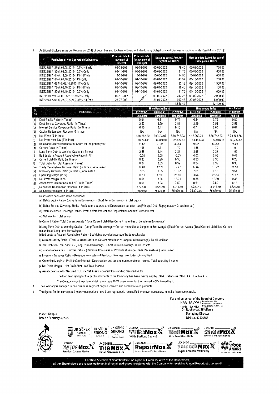Additional disclosures as per Regulation 52(4) of Securities and Exchange Board of India (Listing Obligations and Disclosure Requirements Regulations, 2015):  $\overline{7}$ 

| 监控的 医心理性质 化热光电压剂<br><b>Particulars of Non Convertible Debentures</b><br>[Assembly The Control of American | Prev due date for Prev due date<br>payment of<br>Interest | for payment of<br>Principal | Next due date & Amt. for<br>pay.intt. on NCD's |          |            | Next due date & Amt. for pay of<br><b>Principal on NCD's</b> |  |
|-----------------------------------------------------------------------------------------------------------|-----------------------------------------------------------|-----------------------------|------------------------------------------------|----------|------------|--------------------------------------------------------------|--|
| INE823G07128-dt.02.08.2013-10.5%-Hif.Yrlv                                                                 | 02-08-2021                                                | 02-08-2021                  | 02-02-2022                                     | 79.40    | 02-08-2022 | 750.00                                                       |  |
| INE823G07136-dt.08.08.2013-10.5%-Qrtly                                                                    | 08-11-2021                                                | 08-08-2021                  | 08-02-2022                                     | 31.76    | 08-08-2022 | 600.00                                                       |  |
| INE823G07144-dt.13.09.2013-11%-Hlf.Yrly                                                                   | 13-09-2021                                                | 13-09-2021                  | 13-03-2022                                     | 114.55   | 13-09-2022 | 1,050,00                                                     |  |
| INE823G07151-dt.01.10.2013-11%-Qrtly                                                                      | 01-10-2021                                                | 01-10-2021                  | 01-01-2022                                     | 41.59    | 01-10-2022 | 750.00                                                       |  |
| INE823G07169 #-dt.09.10.2013-11%-Qrtly                                                                    | 09-10-2021                                                | 09-10-2021                  | 09-01-2022                                     | 83.18    | 09-10-2022 | 1,500.00                                                     |  |
| INE823G07177-dt.09.10.2013-11%-HIf.Yrly                                                                   | 09-10-2021                                                | 09-10-2021                  | 09-04-2022                                     | 16.45    | 09-10-2022 | 150.00                                                       |  |
| INE823G07185-dt.01.10.2013-10.5%-Qrtly                                                                    | $01 - 10 - 2021$                                          | 01-10-2021                  | 01-01-2022                                     | 31.76    | 01-10-2022 | 600.00                                                       |  |
| INE823G07193-dt.06.05.2015-9.65%-Qrtly                                                                    | 06-11-2021                                                | $z_{k}$                     | 06-02-2022                                     | 243.23   | 06-05-2022 | 2.000.00                                                     |  |
| INE823G07201-dt.23.07.2021-7.36%-Hif. Yrly                                                                | 23-07-2021                                                |                             | 21-01-2022                                     | 917.48   | 22-07-2022 | 5,000.00                                                     |  |
|                                                                                                           |                                                           |                             |                                                | 1.559.40 |            | 12,400.00                                                    |  |

|             | <b>Particulars</b>                                       |                  | <b>Three Months Ended</b> |                  | <b>Nine Months Ended</b> | <b>Year Ended</b> |             |
|-------------|----------------------------------------------------------|------------------|---------------------------|------------------|--------------------------|-------------------|-------------|
| SI.<br>No.  |                                                          | 31.12.2021       | 30.09.2021                | 31.12.2020       | 31.12.2021               | 31.12.2020        | 31.03.2021  |
|             |                                                          | <b>Unaudited</b> | <b>Unaudited</b>          | <b>Unaudited</b> | <b>Unaudited</b>         | <b>Unaudited</b>  | Audited     |
| (a)         | Debt-Equity Ratio (in Times)                             | 0.84             | 0.81                      | 0.79             | 0.84                     | 0.79              | 0.80        |
| $\vert$ (b) | Debt Service Coverage Ratio (in Times)                   | 2.53             | 2.29                      | 3.81             | 2.19                     | 2.58              | 2.58        |
| (c)         | Interest Service Coverage Ratio (in Times)               | 6.15             | 6.41                      | 8.10             | 6.71                     | 6.83              | 6.61        |
| $ d\rangle$ | Capital Redemption Reserve (₹ In lacs)                   | <b>NA</b>        | ΝA                        | <b>NA</b>        | <b>NA</b>                | NA                | <b>NA</b>   |
| (e)         | Net Worth (₹ In lacs)                                    | 4,16,262.20      | 399493.97                 | 3,66,742,23      | 4,16,262.20              | 3,66,742,23       | 3,73,308.86 |
| (f)         | Net Profit after Tax (₹ In lacs)                         | 16,734.11        | 16,880.91                 | 23,827.42        | 54,441.23                | 53,948.18         | 60,282.58   |
| $ _{(q)}$   | Basic and Diluted Earnings Per Share for the period/year | 21.66            | 21.85                     | 30.84            | 70.46                    | 69.82             | 78.02       |
| (h)         | Current Ratio (in Times)                                 | 1.55             | 1.71                      | 1.79             | 1.55                     | 1.79              | 1.94        |
| l(i)        | Long Term Debt to Working Capital (in Times)             | 2.55             | 2.44                      | 2.21             | 2.55                     | 2.21              | 1.99        |
| ∣(j)        | Bad debts to Account Receivable Ratio (in %)             | $-0.08$          | 0.05                      | $-0.03$          | 0.02                     | 0.55              | 0.42        |
| (k)         | Current Liability Ratio (in Times)                       | 0.33             | 0.29                      | 0.30             | 0.33                     | 0.30              | 0.28        |
| JØ)         | Total Debts to Total Assets (in Times)                   | 0.34             | 0.33                      | 0.32             | 0.34                     | 0.32              | 0.33        |
| (m)         | Trade Receivables Turnover Ratio (in Times ), Annualized | 17.01            | 17.74                     | 19.47            | 17.62                    | 18.22             | 21.53       |
| (n)         | Inventory Turnover Ratio (in Times), Annualized          | 7.65             | 8.65                      | 10.37            | 7.61                     | 8.18              | 9.51        |
| (o)         | Operating Margin (in %)                                  | 19.11            | 17.93                     | 25.50            | 20.32                    | 25.14             | 23.92       |
| (p)         | Net Profit Margin (in %)                                 | 8.51             | 8.96                      | 13.31            | 9.88                     | 12.39             | 9.36        |
| (q)         | Asset cover ratio for Secured NCDs (in Times)            | 9.61             | 8.93                      | 7.50             | 9.61                     | 7.50              | 8.14        |
| (r)         | Debenture Redemption Reserve (₹ In lacs)                 | 4722.40          | 4722.40                   | 8,011.80         | 4,722.40                 | 8,011.80          | 4,722.40    |
| (۱۶)        | Securities Premium (₹ In lacs)                           | 75679.66         | 75679.66                  | 75.679.66        | 75.679.66                | 75.679.66         | 75.679.66   |

Ratios have been calculated as follows:

a ) Debts Equity Ratio:- (Long Term Borrowings + Short Term Borrowings) /Total Equity

b) Debts Service Coverage Ratio:- Profit before interest and Depreciation but after tax/(Principal Debt Repayments + Gross Interest)

c) Interest Service Coverage Ratio:- Profit before interest and Depreciation and tax/Gross Interest

e) Net Worth:- Total equity

8

h) Current Ratio:- Total Current Assets /(Total Current Liabilities-Current maturities of Long term Borrowings)

i) Long Term Debt to Working Capital:- (Long Term Borrowings + Current maturities of Long term Borrowings) /(Total Current Assets-(Total Current Liabilities -Current maturities of Long term Borrowings)

j) Bad debts to Account Receivable Ratio :- Bad debts provided /Average Trade receivables

k) Current Liability Ratio :- (Total Current Liabilities-Current maturities of Long term Borrowings)/ Total Liabilities

I) Total Debts to Total Assets :- (Long Term Borrowings + Short Term Borrowings) /Total Assets

m) Trade Receivables Turnover Ratio :- (Revenue from sales of Products /Average Trade Receivables), Annualized

n) Inventory Turnover Ratio :- (Revenue from sales of Products /Average Inventories) , Annualized

o) Operating Margin :- Profit before interest, Depreciation and tax and non operational income/ Total operating income

p) Net Profit Margin :- Net Profit After tax/ Total Income

g) Asset cover ratio for Secured NCDs :- Net Assets covered/ Outstanding Secured NCDs

The long term rating for the debt instruments of the Company has been maintained by CARE Ratings as CARE AA+ (Double A+).

The Company continues to maintain more than 100% asset cover for the secured NCDs issued by it.

The Company is engaged in one business segment only i.e. cement and cement related products.

The figures for the corresponding previous periods have been regrouped / reclassified wherever necessary, to make them comparable.  $\overline{9}$ 

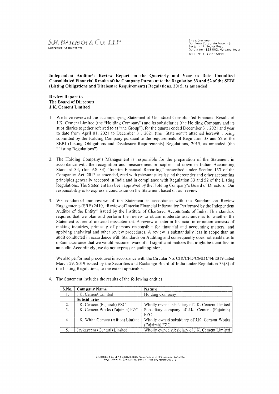2nd & 3rd Floor<br>Golf View Corporate Tower ≤ 8<br>Sector ≤ 42, Sector Road Gurugram - 122 002, Haryana, India Tel: +91 124 681 6000

Independent Auditor's Review Report on the Quarterly and Year to Date Unaudited Consolidated Financial Results of the Company Pursuant to the Regulation 33 and 52 of the SEBI (Listing Obligations and Disclosure Requirements) Regulations, 2015, as amended

**Review Report to** The Board of Directors J.K. Cement Limited

- 1. We have reviewed the accompanying Statement of Unaudited Consolidated Financial Results of J.K. Cement Limited (the "Holding Company") and its subsidiaries (the Holding Company and its subsidiaries together referred to as "the Group"), for the quarter ended December 31, 2021 and year to date from April 01, 2021 to December 31, 2021 (the "Statement") attached herewith, being submitted by the Holding Company pursuant to the requirements of Regulation 33 and 52 of the SEBI (Listing Obligations and Disclosure Requirements) Regulations, 2015, as amended (the "Listing Regulations").
- 2. The Holding Company's Management is responsible for the preparation of the Statement in accordance with the recognition and measurement principles laid down in Indian Accounting Standard 34, (Ind AS 34) "Interim Financial Reporting" prescribed under Section 133 of the Companies Act, 2013 as amended, read with relevant rules issued thereunder and other accounting principles generally accepted in India and in compliance with Regulation 33 and 52 of the Listing Regulations. The Statement has been approved by the Holding Company's Board of Directors. Our responsibility is to express a conclusion on the Statement based on our review.
- 3. We conducted our review of the Statement in accordance with the Standard on Review Engagements (SRE) 2410, "Review of Interim Financial Information Performed by the Independent Auditor of the Entity" issued by the Institute of Chartered Accountants of India. This standard requires that we plan and perform the review to obtain moderate assurance as to whether the Statement is free of material misstatement. A review of interim financial information consists of making inquiries, primarily of persons responsible for financial and accounting matters, and applying analytical and other review procedures. A review is substantially less in scope than an audit conducted in accordance with Standards on Auditing and consequently does not enable us to obtain assurance that we would become aware of all significant matters that might be identified in an audit. Accordingly, we do not express an audit opinion.

We also performed procedures in accordance with the Circular No. CIR/CFD/CMD1/44/2019 dated March 29, 2019 issued by the Securities and Exchange Board of India under Regulation 33(8) of the Listing Regulations, to the extent applicable.

| S.No. | <b>Company Name</b>                | <b>Nature</b>                                                  |  |  |  |  |
|-------|------------------------------------|----------------------------------------------------------------|--|--|--|--|
|       | J.K. Cement Limited                | Holding Company                                                |  |  |  |  |
|       | <b>Subsidiaries</b>                |                                                                |  |  |  |  |
| 2.    | J.K. Cement (Fujairah) FZC         | Wholly owned subsidiary of J.K. Cement Limited                 |  |  |  |  |
| 3.    | J.K. Cement Works (Fujairah) FZC   | Subsidiary company of J.K. Cement (Fujairah)<br>FZC.           |  |  |  |  |
| 4.    | J.K. White Cement (Africa) Limited | Wholly owned subsidiary of J.K. Cement Works<br>(Fujairah) FZC |  |  |  |  |
|       | Jaykaycem (Central) Limited        | Wholly owned subsidiary of J.K. Cement Limited                 |  |  |  |  |

4. The Statement includes the results of the following entities:

S.R. Batliboi & Co. LLP, a Limited Liability Partnership with LLP Identity No. AAB-4294<br>Reggl. Office : 22, Camac Street, Block 'B', 3rd Floot, Kolkata-700 016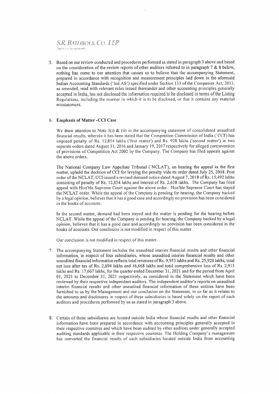### S.R. BATLIBOL& CO. LLP Charlered Accountants

5. Based on our review conducted and procedures performed as stated in paragraph 3 above and based on the consideration of the review reports of other auditors referred to in paragraph  $7 & 8$  8 below, nothing has come to our attention that causes us to believe that the accompanying Statement, prepared in accordance with recognition and measurement principles laid down in the aforesaid Indian Accounting Standards ('Ind AS') specified under Section 133 of the Companies Act, 2013, as amended, read with relevant rules issued thereunder and other accounting principles generally accepted in India, has not disclosed the information required to be disclosed in terms of the Listing Regulations, including the manner in which it is to be disclosed. or that it contains any material misstatement.

#### 6. Emphasis of Matter -CCI Case

We draw attention to Note  $3(i)$  & (ii) in the accompanying statement of consolidated unaudited financial results, wherein it has been stated that the Competition Commission of India (`CCI') has imposed penalty of Rs. 12,854 lakhs ('first matter') and Rs. 928 lakhs ('second matter') in two separate orders dated August 31, 2016 and January 19, 2017 respectively for alleged contravention of provisions of Competition Act 2002 by the Company. The Company has filed appeals against the above orders.

The National Company Law Appellate Tribunal ('NCLAT'), on hearing the appeal in the first matter, upheld the decision of CCI for levying the penalty vide its order dated July 25.2018. Post order of the NCLAT, CCI issued a revised demand notice dated August 7, 2018 of Rs. 15,492 lakhs consisting of penalty of Rs. 12,854 lakhs and interest of Rs. 2,638 lakhs. The Company has filed appeal with Hon'ble Supreme Court against the above order, Hon'ble Supreme Court has stayed the NCLAT order. While the appeal of the Company is pending for hearing, the Company backed by a legal opinion, believes that it has a good case and accordingly no provision has been considered in the books of accounts.

In the second matter, demand had been stayed and the matter is pending for the hearing before NCLAT. While the appeal of the Company is pending for hearing, the Company backed by a legal opinion. believes that it has a good case and accordingly no provision has been considered in the books of accounts. Our conclusion is not modified in respect of this matter.

Our conclusion is not modified in respect of this matter.

- 7. The accompanying Statement includes the unaudited interim financial results and other financial infonnation, in respect of four subsidiaries, whose unaudited interim financial results and other unaudited financial information reflects total revenues of Rs. 9,953 lakhs and Rs. 25,920 lakhs, total net loss after tax of Rs. 2,694 lakhs and 16,668 lakhs and total comprehensive loss of Rs. 2,915 lakhs and Rs. 17,667 lakhs, for the quarter ended December 31, 2021 and for the period from April 01, 2021 to December 31, 2021 respectively, as considered in the Statement which have been reviewed by their respective independent auditors. The independent auditor's reports on unaudited interim financial results and other unaudited financial information of these entities have been furnished to us by the Management and our conclusion on the Statement, in so far as it relates to the amounts and disclosures in respect of these subsidiaries is based solely on the report of such auditors and procedures performed by us as stated in paragraph 3 above.
- 8. Certain of these subsidiaries are located outside India whose financial results and other financial information have been prepared in accordance with accounting principles generally accepted in their respective countries and which have been audited by other auditors under generally accepted auditing standards applicable in their respective countries. The Holding Company's management has converted the financial results of such subsidiaries located outside India from accounting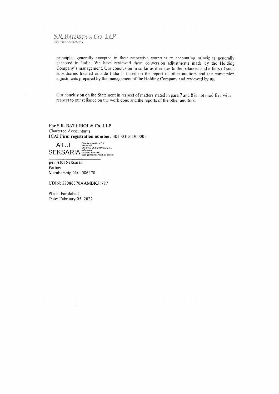#### **S.R. BATUBOL& CO. LLP Chartered Accountants**

principles generally accepted in their respective countries to accounting principles generally accepted in India. We have reviewed these conversion adjustments made by the Holding Company's management. Our conclusion in so far as it relates to the balances and affairs of such subsidiaries located outside India is based on the report of other auditors and the conversion adjustments prepared by the management of the Holding Company and reviewed by us.

Our conclusion on the Statement in respect of matters stated in para 7 and 8 is not modified with respect to our reliance on the work done and the reports of the other auditors.

For S.R. BATLIBOI & Co. LLP Chartered Accountants ICAI Firm registration number: 301003E/E300005

 $\text{ATUL} \ \mathop{\mathsf{S}^{E[83R]A}}_{\mathsf{S}^{E[83R]A}} \ \mathop{\mathsf{S}^{E[83R]A}}_{\mathsf{S}^{E[83R]A}} \ \mathop{\mathsf{S}^{E[83R]A}}_{\mathsf{C}^{E[867R]A}} \ \mathop{\mathsf{S}^{E[868R]A}}_{\mathsf{C}^{E[8668R]A}} \ \mathop{\mathsf{S}^{E[8668R]A}}_{\mathsf{C}^{E[8668R]A}} \ \mathop{\mathsf{S}^{E[8668R]A}}_{\mathsf{D}^{E[$ 

per Atul Seksaria Partner Membership No.: 086370

UDIN: 22086370AAMBKJ1787

Place: Faridabad Date: February 05, 2022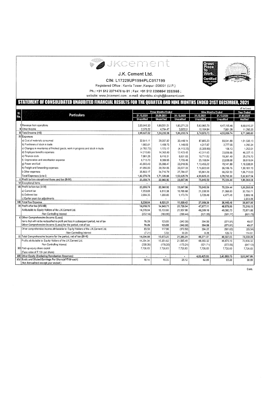



J.K. Cement Ltd.

CIN: L17229UP1994PLC017199

Registered Office : Kamla Tower , Kanpur - 208001 (U.P.)

Ph.: +91 512 2371478 to 81; Fax: +91 512 2399854/ 2332665;

website: www.jkcement.com ; e-mail: shambhu.singh@jkcement.com

## STATEMENT OF CONSOLIDATED UNAUDITED FINANCIAL RESULTS FOR THE QUARTER AND NINE MONTHS ENDED 31ST DECEMBER, 2021

|            |                                                                                         |                           |                  |                  |                          |                   | $(3 \text{ in } \text{Lacs})$ |
|------------|-----------------------------------------------------------------------------------------|---------------------------|------------------|------------------|--------------------------|-------------------|-------------------------------|
|            |                                                                                         | <b>Three Months Ended</b> |                  |                  | <b>Nine Months Ended</b> | <b>Year Ended</b> |                               |
| si.<br>No. | <b>Particulars</b>                                                                      | 31,12,2021                | 30,09,2021       | 31,12,2020       | 31.12,2021               | 31,12,2020        | 31.03,2021                    |
|            |                                                                                         | <b>Unaudited</b>          | <b>Unaudited</b> | <b>Unaudited</b> | <b>Unaudited</b>         | <b>Unaudited</b>  | Audited                       |
|            |                                                                                         |                           |                  |                  |                          |                   |                               |
|            | Revenue from operations                                                                 | 2,03,049.30               | 1,89,501.51      | 1,83,271.23      | 5.63.965.79              | 4,47,195.46       | 6,60,610.27                   |
|            | Other Income                                                                            | 2,578.22                  | 4.794.47         | 3,022.51         | 10,104.94                | 7,891.28          | 11.295.35                     |
|            | Ill Total Income (i+II)                                                                 | 2,05,627,52               | 1,94,295.98      | 1,86,293,74      | 5,74,070.73              | 4,55,086.74       | 6,71,905.62                   |
|            | <b>IV</b> Expenses                                                                      |                           |                  |                  |                          |                   |                               |
|            | a) Cost of materials consumed                                                           | 32,641.11                 | 29.067.82        | 30.448.14        | 87,805,23                | 69,541.80         | 1,01,536.13                   |
|            | b) Purchases of stock in trade                                                          | 1.865.01                  | 1,499.75         | 1.149.83         | 4,317.67                 | 2.777.05          | 4,292.34                      |
|            | c) Changes in inventories of finished goods, work in progress and stock in trade        | (4.783.72)                | 1,123.12         | (4, 113.22)      | (6,308.88)               | 106.13            | 1,253.51                      |
|            | d) Employee benefits expenses                                                           | 14,219.89                 | 14,365.80        | 12.423.45        | 42.311.65                | 33,836.66         | 46,227.15                     |
|            | e) Finance costs                                                                        | 7,061.26                  | 6,410.31         | 6,631.83         | 19,711.52                | 19,361.49         | 25.276.70                     |
|            | f) Depreciation and amortisation expense                                                | 8,713.70                  | 8,389.95         | 7,755.40         | 25,168.84                | 22,638.09         | 30,619.04                     |
|            | g) Power and fuel                                                                       | 45,693.43                 | 35,988.47        | 33,918.95        | 1,13,455.22              | 79,141.99         | 1,16,538.91                   |
|            | h) Freight and forwarding expenses                                                      | 41,056.93                 | 39,764.05        | 36,627.33        | 1,16,602.69              | 86,106.76         | 1,30,181.13                   |
|            | i) Other expenses                                                                       | 35,803.17                 | 34,716.79        | 27.784.07        | 95,961.29                | 66,252.33         | 1,06,712.63                   |
|            | Total Expenses (a to i)                                                                 | 1,82,270.78               | 1,71,326.06      | 1,52,625.78      | 4,99,025.23              | 3,79,762.30       | 5,62,637.54                   |
|            | V Profit before exceptional items and tax (III-IV)                                      | 23,356.74                 | 22,969.92        | 33,667.96        | 75,045.50                | 75,324.44         | 1,09,268.08                   |
|            | VI Exceptional items                                                                    |                           |                  |                  |                          |                   |                               |
|            | VII Profit before tax (V-VI)                                                            | 23,356.74                 | 22,969.92        | 33,667,96        | 75,045.50                | 75,324.44         | 1,09,268.08                   |
|            | a) Current tax                                                                          | 7.253.69                  | 6,810,38         | 10,765.68        | 21,338.90                | 21,968.00         | 30,756.71                     |
|            | b) Deferred lax                                                                         | 2,084.35                  | 1,209.83         | 1,173,74         | 5.729.49                 | 4,477,48          | 5,998.18                      |
|            | c) Earlier years tax adjustments                                                        |                           |                  |                  |                          |                   | 2,203.06                      |
|            | VIII Total Tax Expense                                                                  | 9,338.04                  | 8,020.21         | 11,939.42        | 27,068.39                | 26,445.48         | 38,957.95                     |
|            | IX Profit after tax (VII-VIII)                                                          | 14,018.70                 | 14,949.71        | 21,728.54        | 47,977.11                | 48,878.96         | 70,310,13                     |
|            | Attributable to: Equity Holders of the J.K.Cement Ltd.                                  | 14,270.84                 | 15,133.66        | 21,937.98        |                          |                   |                               |
|            | : Non Controlling Interest                                                              |                           |                  |                  | 48,599.10                | 49,380.73         | 70,971.86                     |
|            | X Other Comprehensive Income /(Loss)                                                    | (252.14)                  | (183.95)         | (209.44)         | (621.99)                 | (501.77)          | (661.73)                      |
|            | Items that will not be reclassified to profit and loss in subsequent period, net of tax |                           |                  |                  |                          |                   |                               |
|            | Other Comprehensive Income /(Loss) for the period, net of tax                           | 76.29<br>76.29            | 123.55           | (342.30)         | 394.50                   | (371.91)          | 49.07                         |
|            |                                                                                         |                           | 123.55           | (342.30)         | 394.50                   | (371.91)          | 49.07                         |
|            | Other comprehensive income attributable to: Equity Holders of the J.K.Cement Ltd.       | 83.50                     | 117.96           | (372.50)         | 394.22                   | (501.63)          | (65.54)                       |
|            | : Non Controlling Interest                                                              | (7.21)                    | 5.59             | 30.20            | 0.28                     | 129.72            | 114.61                        |
|            | XI Total Comprehensive Income for the period, net of tax (IX+X)                         | 14.094.99                 | 15,073.26        | 21,386.24        | 48,371.61                | 48,507.05         | 70,359.20                     |
|            | Profits attributable to: Equity Holders of the J.K.Cement Ltd.                          | 14,354.34                 | 15,251.62        | 21.565.48        | 48,993.32                | 48,879.10         | 70.906.32                     |
|            | : Non Controlling Interest                                                              | (259.35)                  | (178.36)         | (179.24)         | (621.71)                 | (372.05)          | (547.12)                      |
|            | XII Paid-up equity share capital                                                        | 7.726.83                  | 7.726.83         | 7,726.83         | 7,726,83                 | 7,726.83          | 7,726.83                      |
|            | (Face value of ₹ 10/- per share)                                                        |                           |                  |                  |                          |                   |                               |
|            | XIII Other Equity (Excluding Revaluation Reserves)                                      |                           |                  |                  | 4.03,425.93              | 3,43,908.75       | 3,65,947.86                   |
|            | XIV Basic and Diluted Earnings Per Share(of ₹10/-each)                                  | 18.14                     | 19.35            | 28.12            | 62.09                    | 63.26             | 90.99                         |
|            | (Not Annualized excent year ended )                                                     |                           |                  |                  |                          |                   |                               |

Cont.